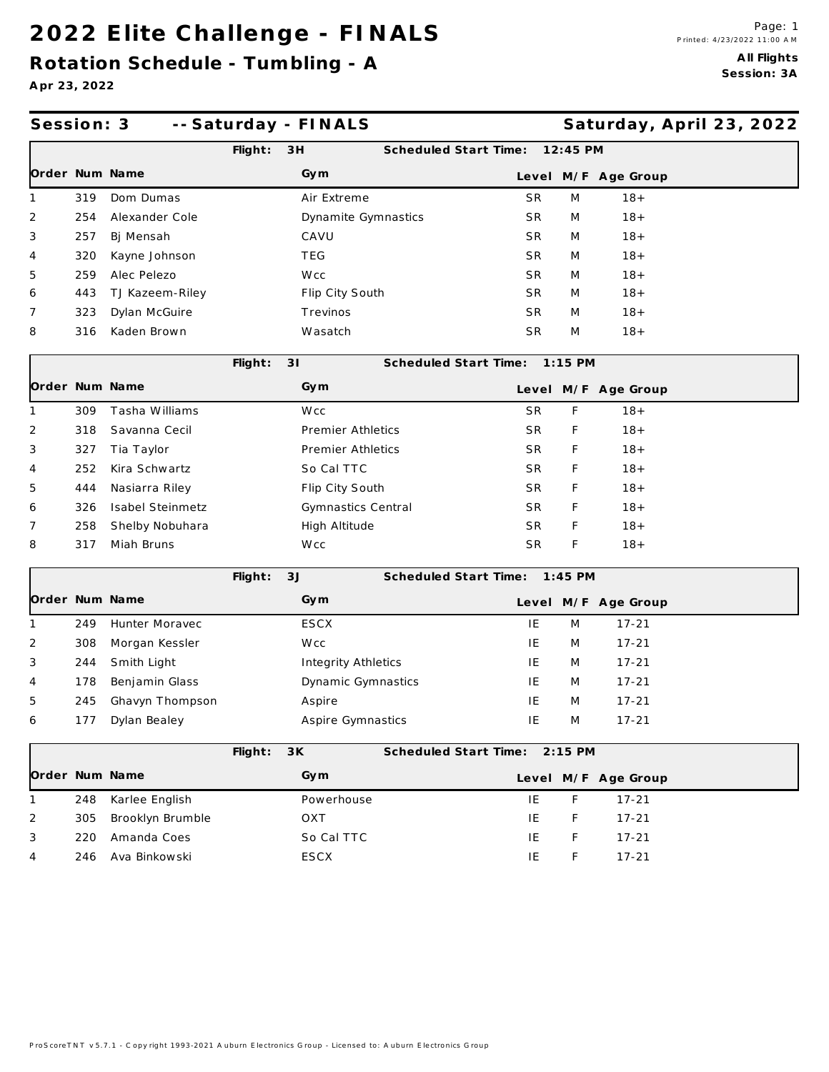### **2 0 2 2 E lite C h a lle n g e - F IN A LS**

**Rota tion Schedule - Tum bling - A**

**A pr 23, 2022**

| Session: 3     |     |                   |         | -- Saturday - FINALS |                               |           |   | Saturday, April 23, 2022 |  |
|----------------|-----|-------------------|---------|----------------------|-------------------------------|-----------|---|--------------------------|--|
|                |     |                   | Flight: | 3H                   | Scheduled Start Time:         | 12:45 PM  |   |                          |  |
| Order Num Name |     |                   |         | Gym                  |                               |           |   | Level M/F Age Group      |  |
| 1              | 319 | Dom Dumas         |         | Air Extreme          | <b>SR</b>                     |           | M | $18 +$                   |  |
| 2              | 254 | Alexander Cole    |         | Dynamite Gymnastics  | SR.                           |           | M | $18 +$                   |  |
| 3              | 257 | Bj Mensah         |         | CAVU                 | <b>SR</b>                     |           | M | $18 +$                   |  |
| 4              | 320 | Kayne Johnson     |         | TEG                  | SR.                           |           | M | $18 +$                   |  |
| 5              | 259 | Alec Pelezo       |         | W cc                 | <b>SR</b>                     |           | M | $18 +$                   |  |
| 6              | 443 | TJ Kazeem-Riley   |         | Flip City South      | <b>SR</b>                     |           | M | $18 +$                   |  |
| 7              | 323 | Dylan McGuire     |         | Trevinos             | SR.                           |           | M | $18 +$                   |  |
| 8              | 316 | Kaden Brown       |         | Wasatch              | SR                            |           | M | $18 +$                   |  |
|                |     |                   | Flight: | 31                   | Scheduled Start Time:         | $1:15$ PM |   |                          |  |
| Order Num Name |     |                   |         | Gym                  |                               |           |   | Level M/F Age Group      |  |
| 1              | 309 | Tasha Williams    |         | W cc                 | <b>SR</b>                     |           | F | $18 +$                   |  |
| 2              | 318 | Savanna Cecil     |         | Premier Athletics    | SR.                           |           | F | $18 +$                   |  |
| 3              | 327 | Tia Taylor        |         | Premier Athletics    | SR.                           |           | F | $18 +$                   |  |
| 4              | 252 | Kira Schwartz     |         | So Cal TTC           | SR.                           |           | F | $18 +$                   |  |
| 5              | 444 | Nasiarra Riley    |         | Flip City South      | SR.                           |           | F | $18 +$                   |  |
| 6              | 326 | Isabel Steinmetz  |         | Gymnastics Central   | SR.                           |           | F | $18 +$                   |  |
| 7              | 258 | Shelby Nobuhara   |         | High Altitude        | SR.                           |           | F | $18 +$                   |  |
| 8              | 317 | Miah Bruns        |         | W cc                 | SR                            |           | F | $18 +$                   |  |
|                |     |                   | Flight: | 3J                   | Scheduled Start Time: 1:45 PM |           |   |                          |  |
| Order Num Name |     |                   |         | Gym                  |                               |           |   | Level M/F Age Group      |  |
| 1              | 249 | Hunter Moravec    |         | ESCX                 | IE                            |           | M | $17 - 21$                |  |
| 2              | 308 | Morgan Kessler    |         | W cc                 | IE                            |           | M | $17 - 21$                |  |
| 3              | 244 | Smith Light       |         | Integrity Athletics  | IE                            |           | M | $17 - 21$                |  |
| 4              | 178 | Benjamin Glass    |         | Dynamic Gymnastics   | IE                            |           | M | $17 - 21$                |  |
| 5              | 245 | Ghavyn Thompson   |         | Aspire               | IE                            |           | M | $17 - 21$                |  |
| 6              | 177 | Dylan Bealey      |         | Aspire Gymnastics    | IE                            |           | M | $17 - 21$                |  |
|                |     |                   | Flight: | 3K                   | Scheduled Start Time:         | $2:15$ PM |   |                          |  |
| Order Num Name |     |                   |         | Gym                  |                               |           |   | Level M/F Age Group      |  |
| 1              | 248 | Karlee English    |         | Powerhouse           | IE                            |           | F | $17 - 21$                |  |
| 2              | 305 | Brooklyn Brumble  |         | OXT                  | IE                            |           | F | $17 - 21$                |  |
| 3              | 220 | Amanda Coes       |         | So Cal TTC           | IE                            |           | F | $17 - 21$                |  |
| 4              |     | 246 Ava Binkowski |         | ESCX                 | ΙE                            |           | F | $17 - 21$                |  |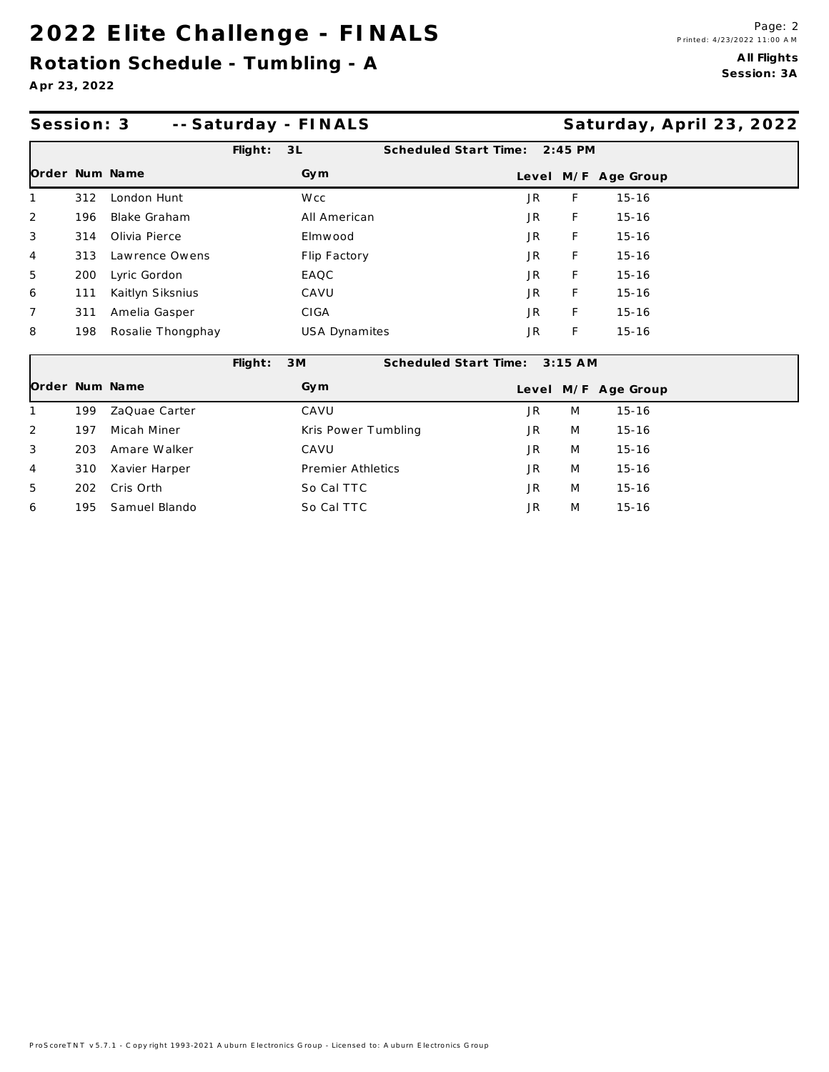### 2022 Elite Challenge - FINALS

Rotation Schedule - Tumbling - A

Apr 23, 2022

| Session: 3     |     |                   |            | -- Saturday - FINALS |                       |           |           |                     | Saturday, April 23, 2022 |
|----------------|-----|-------------------|------------|----------------------|-----------------------|-----------|-----------|---------------------|--------------------------|
|                |     |                   | $F$ light: | 3L                   | Scheduled Start Time: |           | $2:45$ PM |                     |                          |
|                |     | Order Num Name    |            | Gym                  |                       |           |           | Level M/F Age Group |                          |
|                | 312 | London Hunt       |            | W <sub>cc</sub>      |                       | JR.       | F.        | $15 - 16$           |                          |
| $\overline{2}$ | 196 | Blake Graham      |            | All American         |                       | JR.       | F         | $15 - 16$           |                          |
| 3              | 314 | Olivia Pierce     |            | Elmwood              |                       | <b>JR</b> | F         | $15 - 16$           |                          |
| 4              | 313 | Lawrence Owens    |            | Flip Factory         |                       | JR.       | F.        | $15 - 16$           |                          |
| 5              | 200 | Lyric Gordon      |            | EAQC                 |                       | JR.       | F         | $15 - 16$           |                          |
| 6              | 111 | Kaitlyn Siksnius  |            | CAVU                 |                       | JR.       | F.        | $15 - 16$           |                          |
| 7              | 311 | Amelia Gasper     |            | CIGA                 |                       | JR.       | F         | $15 - 16$           |                          |
| 8              | 198 | Rosalie Thongphay |            | USA Dynamites        |                       | JR        | F         | $15 - 16$           |                          |
|                |     |                   | Flight:    | 3M                   | Scheduled Start Time: |           | $3:15$ AM |                     |                          |
| Order Num Name |     |                   |            | Gym                  |                       |           |           | Level M/F Age Group |                          |
|                | 199 | ZaQuae Carter     |            | CAVU                 |                       | JR.       | M         | $15 - 16$           |                          |
| 2              | 197 | Micah Miner       |            | Kris Power Tumbling  |                       | JR.       | M         | $15 - 16$           |                          |
| 3              | 203 | Amare Walker      |            | CAVU                 |                       | JR.       | M         | $15 - 16$           |                          |
| 4              | 310 | Xavier Harper     |            | Premier Athletics    |                       | JR.       | M         | $15 - 16$           |                          |
| 5              | 202 | Cris Orth         |            | So Cal TTC           |                       | JR.       | M         | $15 - 16$           |                          |
| 6              | 195 | Samuel Blando     |            | So Cal TTC           |                       | JR.       | M         | $15 - 16$           |                          |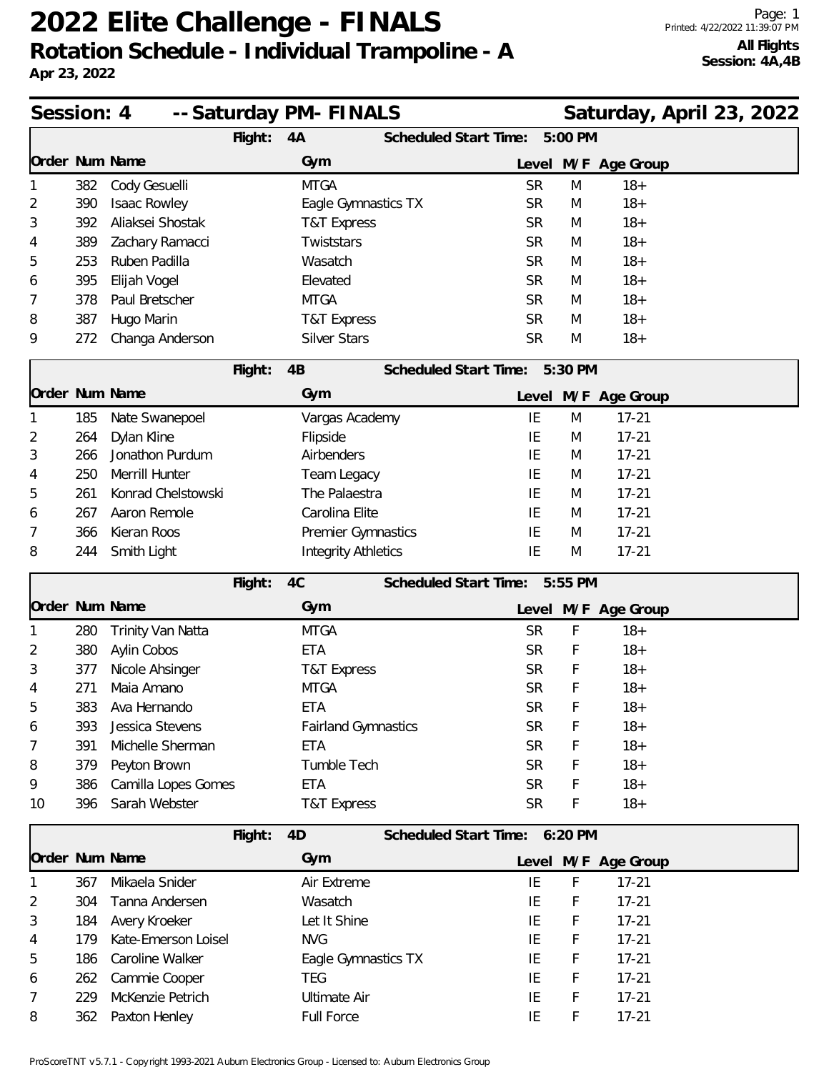# **2022 Elite Challenge - FINALS Rotation Schedule - Individual Trampoline - A**

| Session: 4                                        |     |                     |         | -- Saturday PM- FINALS     |                              |                               |         | Saturday, April 23, 2022 |  |  |
|---------------------------------------------------|-----|---------------------|---------|----------------------------|------------------------------|-------------------------------|---------|--------------------------|--|--|
|                                                   |     |                     | Flight: | 4A                         | <b>Scheduled Start Time:</b> |                               | 5:00 PM |                          |  |  |
| Order Num Name                                    |     |                     |         | Gym                        |                              | Level                         |         | M/F Age Group            |  |  |
|                                                   | 382 | Cody Gesuelli       |         | <b>MTGA</b>                |                              | <b>SR</b>                     | M       | $18+$                    |  |  |
| 2                                                 | 390 | Isaac Rowley        |         | Eagle Gymnastics TX        |                              | <b>SR</b>                     | M       | $18+$                    |  |  |
| 3                                                 | 392 | Aliaksei Shostak    |         | T&T Express                |                              | <b>SR</b>                     | M       | $18+$                    |  |  |
| 4                                                 | 389 | Zachary Ramacci     |         | Twiststars                 |                              | <b>SR</b>                     | M       | $18+$                    |  |  |
| 5                                                 | 253 | Ruben Padilla       |         | Wasatch                    |                              | <b>SR</b>                     | M       | $18+$                    |  |  |
| 6                                                 | 395 | Elijah Vogel        |         | Elevated                   |                              | <b>SR</b>                     | M       | $18+$                    |  |  |
| 7                                                 | 378 | Paul Bretscher      |         | <b>MTGA</b>                |                              | <b>SR</b>                     | M       | $18+$                    |  |  |
| 8                                                 | 387 | Hugo Marin          |         | T&T Express                |                              | <b>SR</b>                     | M       | $18+$                    |  |  |
| 9                                                 | 272 | Changa Anderson     |         | <b>Silver Stars</b>        |                              | <b>SR</b>                     | M       | $18+$                    |  |  |
|                                                   |     |                     | Flight: | 4B                         | Scheduled Start Time:        |                               | 5:30 PM |                          |  |  |
| Order Num Name                                    |     |                     |         | Gym                        |                              |                               |         | Level M/F Age Group      |  |  |
|                                                   | 185 | Nate Swanepoel      |         | Vargas Academy             |                              | IE                            | M       | $17 - 21$                |  |  |
| 2                                                 | 264 | Dylan Kline         |         | Flipside                   |                              | IE                            | M       | $17 - 21$                |  |  |
| 3                                                 | 266 | Jonathon Purdum     |         | Airbenders                 |                              | IE                            | M       | $17 - 21$                |  |  |
| 4                                                 | 250 | Merrill Hunter      |         | <b>Team Legacy</b>         |                              | IE                            | M       | $17 - 21$                |  |  |
| 5                                                 | 261 | Konrad Chelstowski  |         | The Palaestra              |                              | IE                            | M       | $17 - 21$                |  |  |
| 6                                                 | 267 | Aaron Remole        |         | Carolina Elite             |                              | IE                            | M       | $17 - 21$                |  |  |
| 7                                                 | 366 | Kieran Roos         |         | Premier Gymnastics         |                              | IE                            | M       | $17 - 21$                |  |  |
| 8                                                 | 244 | Smith Light         |         | <b>Integrity Athletics</b> |                              | IE                            | M       | $17 - 21$                |  |  |
| 4C<br>Scheduled Start Time:<br>Flight:<br>5:55 PM |     |                     |         |                            |                              |                               |         |                          |  |  |
| Order Num Name                                    |     |                     |         | Gym                        |                              |                               |         | Level M/F Age Group      |  |  |
|                                                   | 280 | Trinity Van Natta   |         | <b>MTGA</b>                |                              | <b>SR</b>                     | F       | $18+$                    |  |  |
| 2                                                 | 380 | Aylin Cobos         |         | ETA                        |                              | <b>SR</b>                     | F       | $18+$                    |  |  |
| 3                                                 | 377 | Nicole Ahsinger     |         | <b>T&amp;T Express</b>     |                              | <b>SR</b>                     | F       | $18+$                    |  |  |
| 4                                                 | 271 | Maia Amano          |         | <b>MTGA</b>                |                              | <b>SR</b>                     | F       | $18+$                    |  |  |
| 5                                                 | 383 | Ava Hernando        |         | ETA                        |                              | <b>SR</b>                     | F       | $18 +$                   |  |  |
| 6                                                 | 393 | Jessica Stevens     |         | <b>Fairland Gymnastics</b> |                              | <b>SR</b>                     | F       | $18+$                    |  |  |
| 7                                                 | 391 | Michelle Sherman    |         | <b>ETA</b>                 |                              | <b>SR</b>                     | F       | $18+$                    |  |  |
| 8                                                 | 379 | Peyton Brown        |         | Tumble Tech                |                              | <b>SR</b>                     | F       | $18+$                    |  |  |
| 9                                                 | 386 | Camilla Lopes Gomes |         | ETA                        |                              | <b>SR</b>                     | F       | $18+$                    |  |  |
| 10                                                | 396 | Sarah Webster       |         | <b>T&amp;T Express</b>     |                              | <b>SR</b>                     | F       | $18 +$                   |  |  |
|                                                   |     |                     | Flight: | 4D                         |                              | Scheduled Start Time: 6:20 PM |         |                          |  |  |
| Order Num Name                                    |     |                     |         | Gym                        |                              |                               |         | Level M/F Age Group      |  |  |
|                                                   | 367 | Mikaela Snider      |         | Air Extreme                |                              | IE                            | F       | $17 - 21$                |  |  |
| 2                                                 | 304 | Tanna Andersen      |         | Wasatch                    |                              | IE                            | F       | $17 - 21$                |  |  |
| 3                                                 | 184 | Avery Kroeker       |         | Let It Shine               |                              | IE                            | F       | $17 - 21$                |  |  |
| 4                                                 | 179 | Kate-Emerson Loisel |         | <b>NVG</b>                 |                              | IE                            | F       | $17 - 21$                |  |  |
| 5                                                 | 186 | Caroline Walker     |         | Eagle Gymnastics TX        |                              | IE                            | F       | $17 - 21$                |  |  |
| 6                                                 | 262 | Cammie Cooper       |         | <b>TEG</b>                 |                              | IE                            | F       | $17 - 21$                |  |  |
| 7                                                 | 229 | McKenzie Petrich    |         | <b>Ultimate Air</b>        |                              | IE                            | F       | $17 - 21$                |  |  |
| 8                                                 | 362 | Paxton Henley       |         | <b>Full Force</b>          |                              | IE                            | F       | $17 - 21$                |  |  |

ProScoreTNT v5.7.1 - Copyright 1993-2021 Auburn Electronics Group - Licensed to: Auburn Electronics Group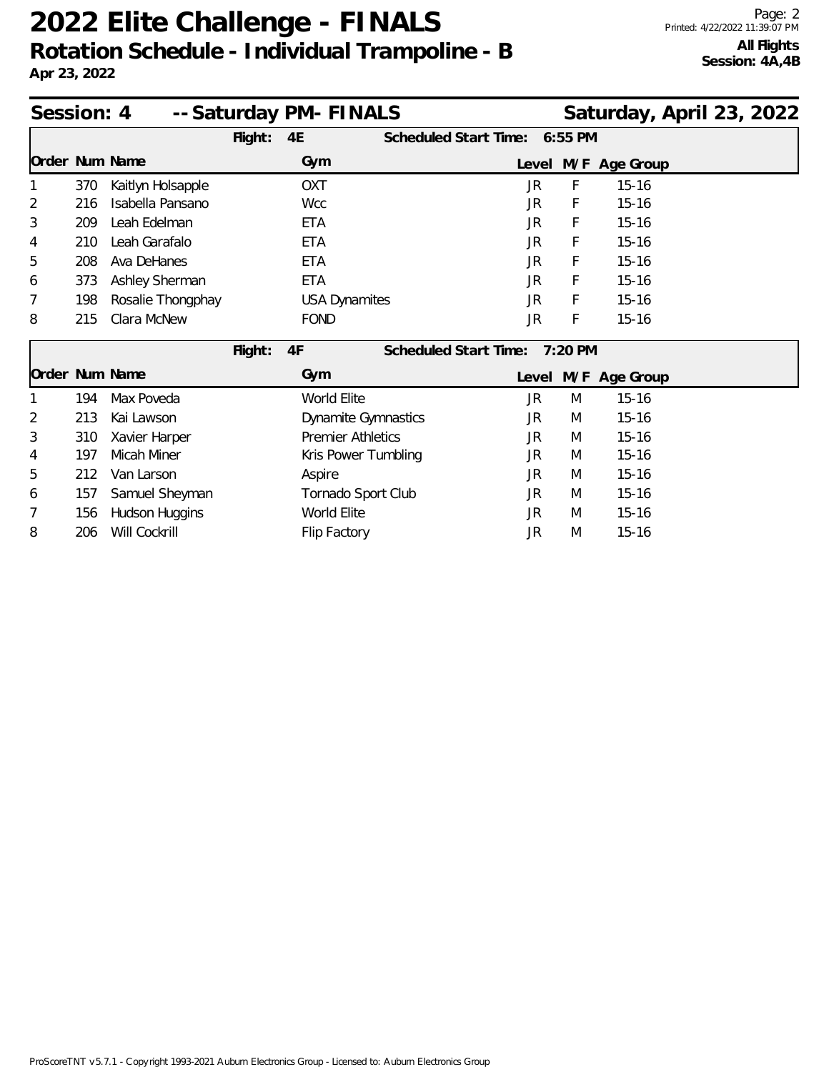# **2022 Elite Challenge - FINALS Rotation Schedule - Individual Trampoline - B**

| -- Saturday PM- FINALS<br>Saturday, April 23, 2022<br>Session: 4 |     |                   |         |                            |                       |           |         |                     |  |
|------------------------------------------------------------------|-----|-------------------|---------|----------------------------|-----------------------|-----------|---------|---------------------|--|
|                                                                  |     |                   | Flight: | 4E                         | Scheduled Start Time: |           | 6:55 PM |                     |  |
|                                                                  |     | Order Num Name    |         | Gym                        |                       |           |         | Level M/F Age Group |  |
|                                                                  | 370 | Kaitlyn Holsapple |         | OXT                        |                       | JR        | F       | $15 - 16$           |  |
| 2                                                                | 216 | Isabella Pansano  |         | <b>Wcc</b>                 |                       | JR        | F       | $15 - 16$           |  |
| 3                                                                | 209 | Leah Edelman      |         | <b>ETA</b>                 |                       | JR        | F       | $15 - 16$           |  |
| 4                                                                | 210 | Leah Garafalo     |         | <b>ETA</b>                 |                       | JR        | F       | $15 - 16$           |  |
| 5                                                                | 208 | Ava DeHanes       |         | <b>ETA</b>                 |                       | JR        | F       | $15 - 16$           |  |
| 6                                                                | 373 | Ashley Sherman    |         | <b>ETA</b>                 |                       | JR        | F       | $15 - 16$           |  |
|                                                                  | 198 | Rosalie Thongphay |         | <b>USA Dynamites</b>       |                       | JR        | F       | $15 - 16$           |  |
| 8                                                                | 215 | Clara McNew       |         | <b>FOND</b>                |                       | JR        | F       | $15 - 16$           |  |
|                                                                  |     |                   | Flight: | 4F                         | Scheduled Start Time: |           | 7:20 PM |                     |  |
|                                                                  |     | Order Num Name    |         | Gym                        |                       |           |         | Level M/F Age Group |  |
|                                                                  | 194 | Max Poveda        |         | World Elite                |                       | <b>JR</b> | M       | $15 - 16$           |  |
| 2                                                                | 213 | Kai Lawson        |         | <b>Dynamite Gymnastics</b> |                       | JR        | M       | $15 - 16$           |  |
| 3                                                                | 310 | Xavier Harper     |         | <b>Premier Athletics</b>   |                       | JR        | M       | $15 - 16$           |  |
| 4                                                                | 197 | Micah Miner       |         | Kris Power Tumbling        |                       | JR        | M       | $15 - 16$           |  |
| 5                                                                | 212 | Van Larson        |         | Aspire                     |                       | JR        | M       | $15 - 16$           |  |
| b                                                                | 157 | Samuel Sheyman    |         | Tornado Sport Club         |                       | JR        | M       | $15 - 16$           |  |
|                                                                  | 156 | Hudson Huggins    |         | World Elite                |                       | JR        | M       | $15 - 16$           |  |
| 8                                                                | 206 | Will Cockrill     |         | Flip Factory               |                       | JR        | M       | $15 - 16$           |  |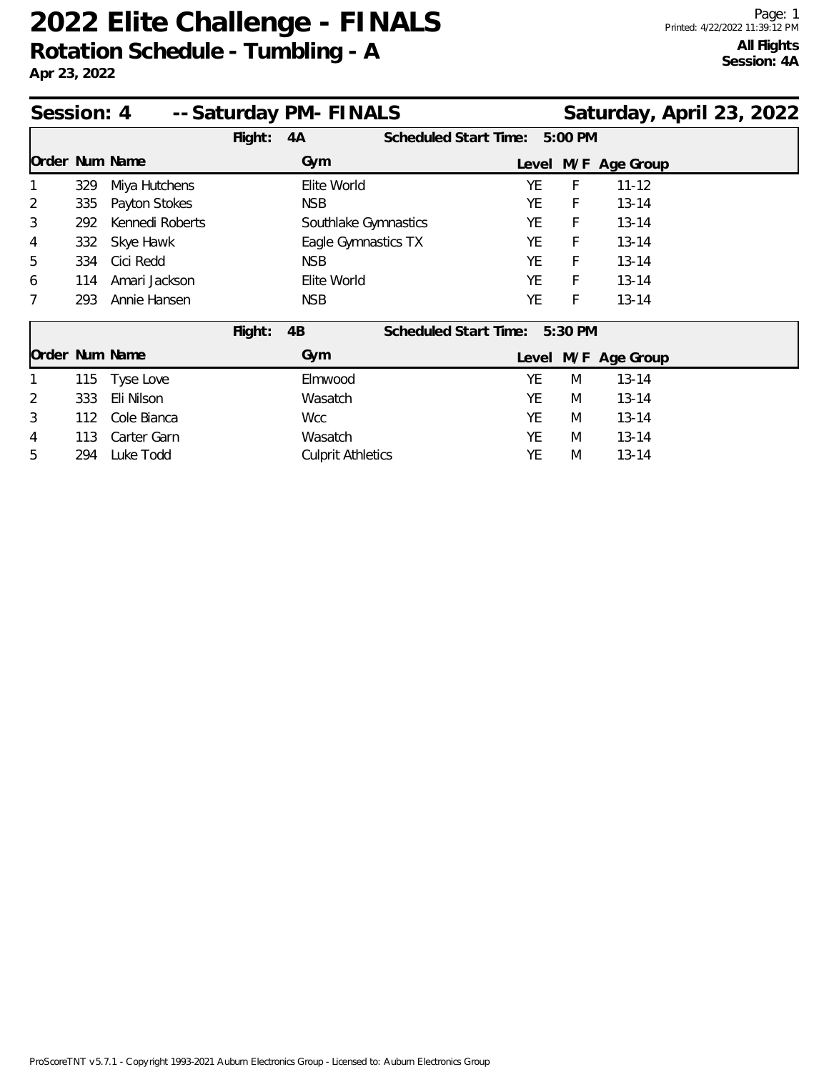### **2022 Elite Challenge - FINALS Rotation Schedule - Tumbling - A**

**Apr 23, 2022**

| -- Saturday PM- FINALS<br>Session: 4 |     |                 |         |                          |                              |       |           |                     | Saturday, April 23, 2022 |  |
|--------------------------------------|-----|-----------------|---------|--------------------------|------------------------------|-------|-----------|---------------------|--------------------------|--|
|                                      |     |                 | Flight: | 4A                       | Scheduled Start Time:        |       | 5:00 PM   |                     |                          |  |
| Order Num Name                       |     |                 |         | Gym                      |                              | Level |           | M/F Age Group       |                          |  |
|                                      | 329 | Miya Hutchens   |         | Elite World              |                              | YE    | F         | $11 - 12$           |                          |  |
| $\overline{2}$                       | 335 | Payton Stokes   |         | <b>NSB</b>               |                              | YE    | F         | $13 - 14$           |                          |  |
| 3                                    | 292 | Kennedi Roberts |         | Southlake Gymnastics     |                              | YE    | F         | $13 - 14$           |                          |  |
| 4                                    | 332 | Skye Hawk       |         | Eagle Gymnastics TX      |                              | YE    | F         | $13 - 14$           |                          |  |
| 5                                    | 334 | Cici Redd       |         | <b>NSB</b>               |                              | YE    | F         | $13 - 14$           |                          |  |
| 6                                    | 114 | Amari Jackson   |         | Elite World              |                              | YE    | F         | $13 - 14$           |                          |  |
| 7                                    | 293 | Annie Hansen    |         | <b>NSB</b>               |                              | YE    | F         | $13 - 14$           |                          |  |
|                                      |     |                 | Flight: | 4B                       | <b>Scheduled Start Time:</b> |       | $5:30$ PM |                     |                          |  |
| Order Num Name                       |     |                 |         | Gym                      |                              |       |           | Level M/F Age Group |                          |  |
|                                      | 115 | Tyse Love       |         | Elmwood                  |                              | YE    | M         | $13 - 14$           |                          |  |
| 2                                    | 333 | Eli Nilson      |         | Wasatch                  |                              | YE    | M         | $13 - 14$           |                          |  |
| 3                                    | 112 | Cole Bianca     |         | <b>Wcc</b>               |                              | YE    | M         | $13 - 14$           |                          |  |
| 4                                    | 113 | Carter Garn     |         | Wasatch                  |                              | YE    | M         | $13 - 14$           |                          |  |
| 5                                    | 294 | Luke Todd       |         | <b>Culprit Athletics</b> |                              | YE    | M         | $13 - 14$           |                          |  |